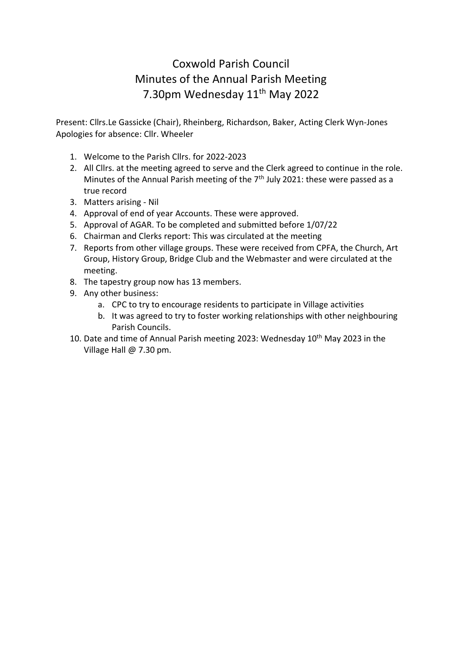# Coxwold Parish Council Minutes of the Annual Parish Meeting 7.30pm Wednesday 11<sup>th</sup> May 2022

Present: Cllrs.Le Gassicke (Chair), Rheinberg, Richardson, Baker, Acting Clerk Wyn-Jones Apologies for absence: Cllr. Wheeler

- 1. Welcome to the Parish Cllrs. for 2022-2023
- 2. All Cllrs. at the meeting agreed to serve and the Clerk agreed to continue in the role. Minutes of the Annual Parish meeting of the 7<sup>th</sup> July 2021: these were passed as a true record
- 3. Matters arising Nil
- 4. Approval of end of year Accounts. These were approved.
- 5. Approval of AGAR. To be completed and submitted before 1/07/22
- 6. Chairman and Clerks report: This was circulated at the meeting
- 7. Reports from other village groups. These were received from CPFA, the Church, Art Group, History Group, Bridge Club and the Webmaster and were circulated at the meeting.
- 8. The tapestry group now has 13 members.
- 9. Any other business:
	- a. CPC to try to encourage residents to participate in Village activities
	- b. It was agreed to try to foster working relationships with other neighbouring Parish Councils.
- 10. Date and time of Annual Parish meeting 2023: Wednesday 10<sup>th</sup> May 2023 in the Village Hall @ 7.30 pm.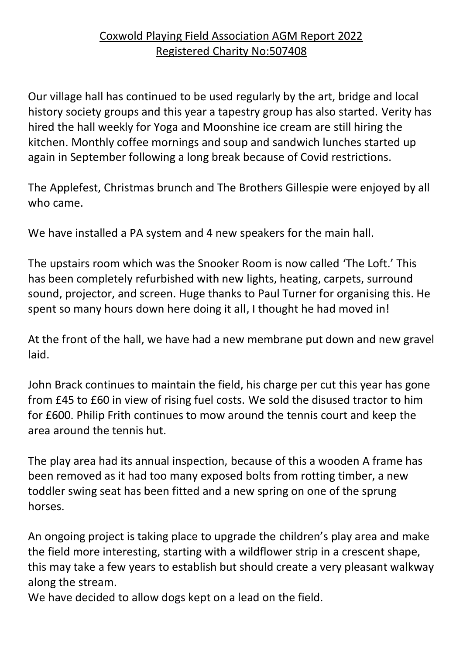## Coxwold Playing Field Association AGM Report 2022 Registered Charity No:507408

Our village hall has continued to be used regularly by the art, bridge and local history society groups and this year a tapestry group has also started. Verity has hired the hall weekly for Yoga and Moonshine ice cream are still hiring the kitchen. Monthly coffee mornings and soup and sandwich lunches started up again in September following a long break because of Covid restrictions.

The Applefest, Christmas brunch and The Brothers Gillespie were enjoyed by all who came.

We have installed a PA system and 4 new speakers for the main hall.

The upstairs room which was the Snooker Room is now called 'The Loft.' This has been completely refurbished with new lights, heating, carpets, surround sound, projector, and screen. Huge thanks to Paul Turner for organising this. He spent so many hours down here doing it all, I thought he had moved in!

At the front of the hall, we have had a new membrane put down and new gravel laid.

John Brack continues to maintain the field, his charge per cut this year has gone from £45 to £60 in view of rising fuel costs. We sold the disused tractor to him for £600. Philip Frith continues to mow around the tennis court and keep the area around the tennis hut.

The play area had its annual inspection, because of this a wooden A frame has been removed as it had too many exposed bolts from rotting timber, a new toddler swing seat has been fitted and a new spring on one of the sprung horses.

An ongoing project is taking place to upgrade the children's play area and make the field more interesting, starting with a wildflower strip in a crescent shape, this may take a few years to establish but should create a very pleasant walkway along the stream.

We have decided to allow dogs kept on a lead on the field.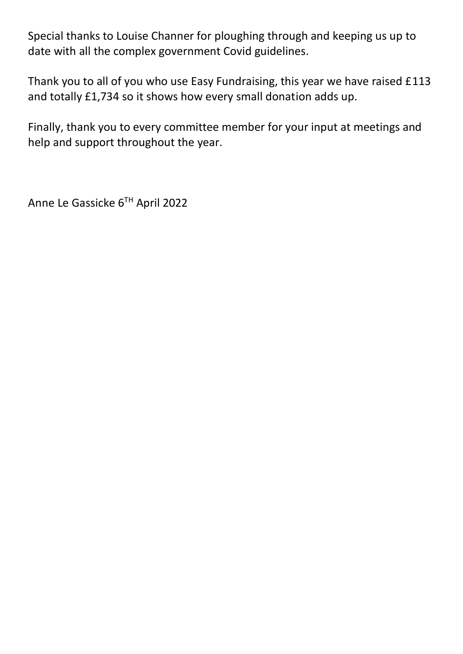Special thanks to Louise Channer for ploughing through and keeping us up to date with all the complex government Covid guidelines.

Thank you to all of you who use Easy Fundraising, this year we have raised £113 and totally £1,734 so it shows how every small donation adds up.

Finally, thank you to every committee member for your input at meetings and help and support throughout the year.

Anne Le Gassicke 6TH April 2022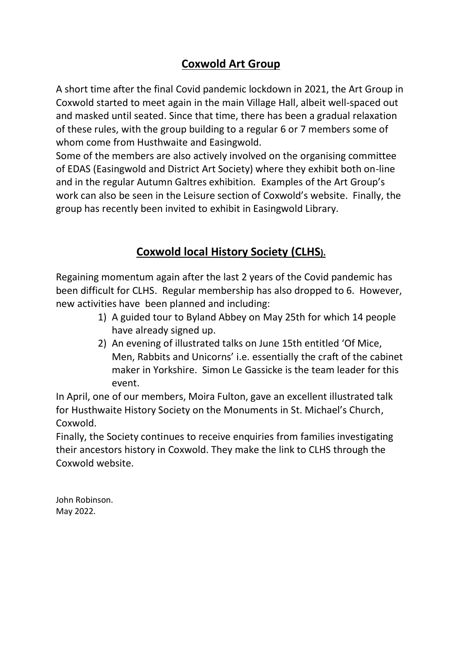#### **Coxwold Art Group**

A short time after the final Covid pandemic lockdown in 2021, the Art Group in Coxwold started to meet again in the main Village Hall, albeit well-spaced out and masked until seated. Since that time, there has been a gradual relaxation of these rules, with the group building to a regular 6 or 7 members some of whom come from Husthwaite and Easingwold.

Some of the members are also actively involved on the organising committee of EDAS (Easingwold and District Art Society) where they exhibit both on-line and in the regular Autumn Galtres exhibition. Examples of the Art Group's work can also be seen in the Leisure section of Coxwold's website. Finally, the group has recently been invited to exhibit in Easingwold Library.

## **Coxwold local History Society (CLHS).**

Regaining momentum again after the last 2 years of the Covid pandemic has been difficult for CLHS. Regular membership has also dropped to 6. However, new activities have been planned and including:

- 1) A guided tour to Byland Abbey on May 25th for which 14 people have already signed up.
- 2) An evening of illustrated talks on June 15th entitled 'Of Mice, Men, Rabbits and Unicorns' i.e. essentially the craft of the cabinet maker in Yorkshire. Simon Le Gassicke is the team leader for this event.

In April, one of our members, Moira Fulton, gave an excellent illustrated talk for Husthwaite History Society on the Monuments in St. Michael's Church, Coxwold.

Finally, the Society continues to receive enquiries from families investigating their ancestors history in Coxwold. They make the link to CLHS through the Coxwold website.

John Robinson. May 2022.